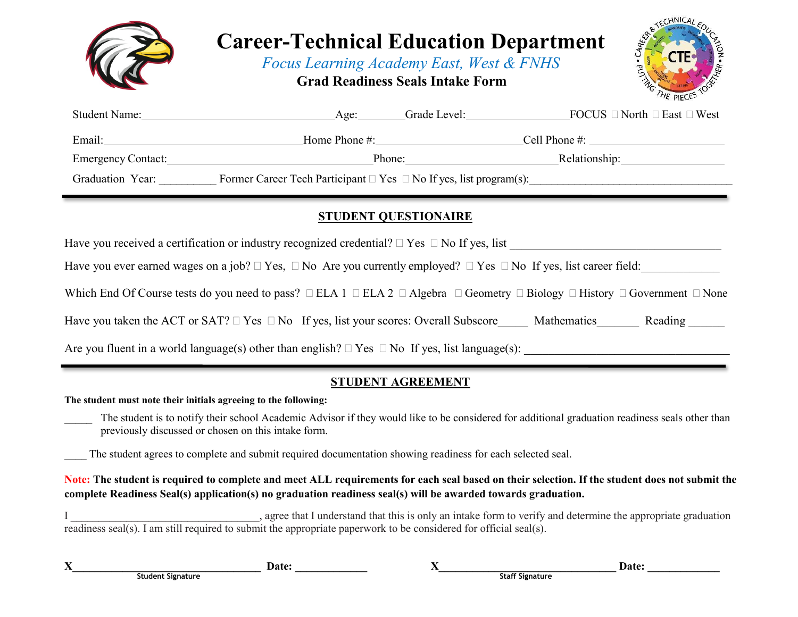

**The student must note their initials agreeing to the following:**

The student is to notify their school Academic Advisor if they would like to be considered for additional graduation readiness seals other than previously discussed or chosen on this intake form.

**STUDENT AGREEMENT**

Have you taken the ACT or SAT?  $\Box$  Yes  $\Box$  No If yes, list your scores: Overall Subscore Mathematics Reading

Are you fluent in a world language(s) other than english?  $\Box$  Yes  $\Box$  No If yes, list language(s):

The student agrees to complete and submit required documentation showing readiness for each selected seal.

**Note: The student is required to complete and meet ALL requirements for each seal based on their selection. If the student does not submit the complete Readiness Seal(s) application(s) no graduation readiness seal(s) will be awarded towards graduation.**

I zagree that I understand that this is only an intake form to verify and determine the appropriate graduation readiness seal(s). I am still required to submit the appropriate paperwork to be considered for official seal(s).